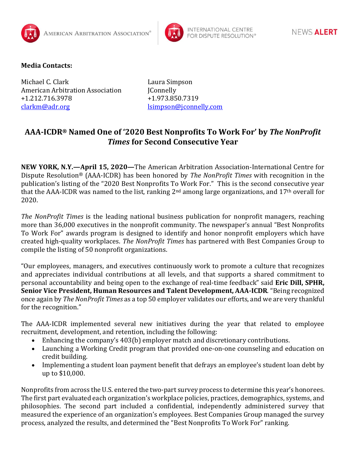



## **Media Contacts:**

Michael C. Clark Laura Simpson American Arbitration Association JConnelly +1.212.716.3978 +1.973.850.7319 [clarkm@adr.org](mailto:clarkm@adr.org) [lsimpson@jconnelly.com](mailto:lsimpson@jconnelly.com)

## **AAA-ICDR® Named One of '2020 Best Nonprofits To Work For' by** *The NonProfit Times* **for Second Consecutive Year**

**NEW YORK, N.Y.—April 15, 2020—**The American Arbitration Association-International Centre for Dispute Resolution® (AAA-ICDR) has been honored by *The NonProfit Times* with recognition in the publication's listing of the "2020 Best Nonprofits To Work For." This is the second consecutive year that the AAA-ICDR was named to the list, ranking 2nd among large organizations, and 17th overall for 2020.

*The NonProfit Times* is the leading national business publication for nonprofit managers, reaching more than 36,000 executives in the nonprofit community. The newspaper's annual "Best Nonprofits To Work For" awards program is designed to identify and honor nonprofit employers which have created high-quality workplaces. *The NonProfit Times* has partnered with Best Companies Group to compile the listing of 50 nonprofit organizations.

"Our employees, managers, and executives continuously work to promote a culture that recognizes and appreciates individual contributions at all levels, and that supports a shared commitment to personal accountability and being open to the exchange of real-time feedback" said **Eric Dill, SPHR, Senior Vice President, Human Resources and Talent Development, AAA-ICDR**. "Being recognized once again by *The NonProfit Times* as a top 50 employer validates our efforts, and we are very thankful for the recognition."

The AAA-ICDR implemented several new initiatives during the year that related to employee recruitment, development, and retention, including the following:

- Enhancing the company's 403(b) employer match and discretionary contributions.
- Launching a Working Credit program that provided one-on-one counseling and education on credit building.
- Implementing a student loan payment benefit that defrays an employee's student loan debt by up to \$10,000.

Nonprofits from across the U.S. entered the two-part survey process to determine this year's honorees. The first part evaluated each organization's workplace policies, practices, demographics, systems, and philosophies. The second part included a confidential, independently administered survey that measured the experience of an organization's employees. Best Companies Group managed the survey process, analyzed the results, and determined the "Best Nonprofits To Work For" ranking.